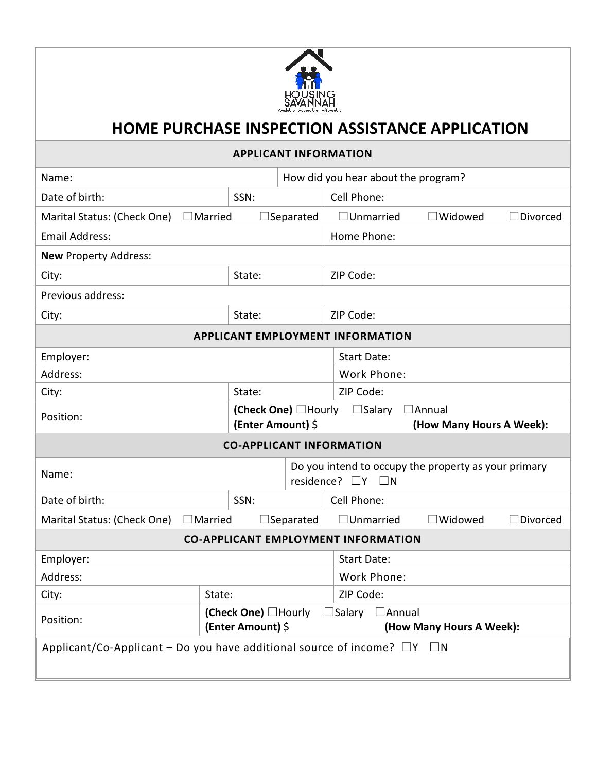

## **HOME PURCHASE INSPECTION ASSISTANCE APPLICATION**

## **APPLICANT INFORMATION**

| Name:                                                                               |                                          |                                                    | How did you hear about the program? |                                           |                          |                                                      |
|-------------------------------------------------------------------------------------|------------------------------------------|----------------------------------------------------|-------------------------------------|-------------------------------------------|--------------------------|------------------------------------------------------|
| Date of birth:                                                                      | SSN:                                     |                                                    |                                     | Cell Phone:                               |                          |                                                      |
| Marital Status: (Check One)                                                         | $\Box$ Married                           |                                                    | $\Box$ Separated                    | $\Box$ Unmarried                          | $\Box$ Widowed           | $\Box$ Divorced                                      |
| <b>Email Address:</b>                                                               |                                          |                                                    |                                     | Home Phone:                               |                          |                                                      |
| <b>New Property Address:</b>                                                        |                                          |                                                    |                                     |                                           |                          |                                                      |
| City:                                                                               |                                          | State:                                             |                                     | ZIP Code:                                 |                          |                                                      |
| Previous address:                                                                   |                                          |                                                    |                                     |                                           |                          |                                                      |
| City:                                                                               |                                          | State:                                             |                                     | ZIP Code:                                 |                          |                                                      |
| <b>APPLICANT EMPLOYMENT INFORMATION</b>                                             |                                          |                                                    |                                     |                                           |                          |                                                      |
| Employer:                                                                           |                                          |                                                    |                                     | <b>Start Date:</b>                        |                          |                                                      |
| Address:                                                                            |                                          |                                                    |                                     | Work Phone:                               |                          |                                                      |
| City:                                                                               |                                          | State:                                             |                                     | ZIP Code:                                 |                          |                                                      |
| Position:                                                                           |                                          | (Check One) □ Hourly □ Salary<br>(Enter Amount) \$ |                                     | $\Box$ Annual<br>(How Many Hours A Week): |                          |                                                      |
| <b>CO-APPLICANT INFORMATION</b>                                                     |                                          |                                                    |                                     |                                           |                          |                                                      |
| Name:                                                                               |                                          |                                                    |                                     | residence? $\Box Y$ $\Box N$              |                          | Do you intend to occupy the property as your primary |
| Date of birth:                                                                      |                                          | SSN:                                               |                                     | Cell Phone:                               |                          |                                                      |
| Marital Status: (Check One)                                                         | $\Box$ Married                           |                                                    | $\Box$ Separated                    | $\Box$ Unmarried                          | $\square$ Widowed        | $\Box$ Divorced                                      |
| <b>CO-APPLICANT EMPLOYMENT INFORMATION</b>                                          |                                          |                                                    |                                     |                                           |                          |                                                      |
| Employer:                                                                           |                                          |                                                    | <b>Start Date:</b>                  |                                           |                          |                                                      |
| Address:                                                                            |                                          |                                                    |                                     | Work Phone:                               |                          |                                                      |
| City:                                                                               | State:                                   |                                                    |                                     | ZIP Code:                                 |                          |                                                      |
| Position:                                                                           | (Check One) □Hourly<br>(Enter Amount) \$ |                                                    |                                     | $\Box$ Salary<br>$\Box$ Annual            | (How Many Hours A Week): |                                                      |
| Applicant/Co-Applicant – Do you have additional source of income? $\Box Y$ $\Box N$ |                                          |                                                    |                                     |                                           |                          |                                                      |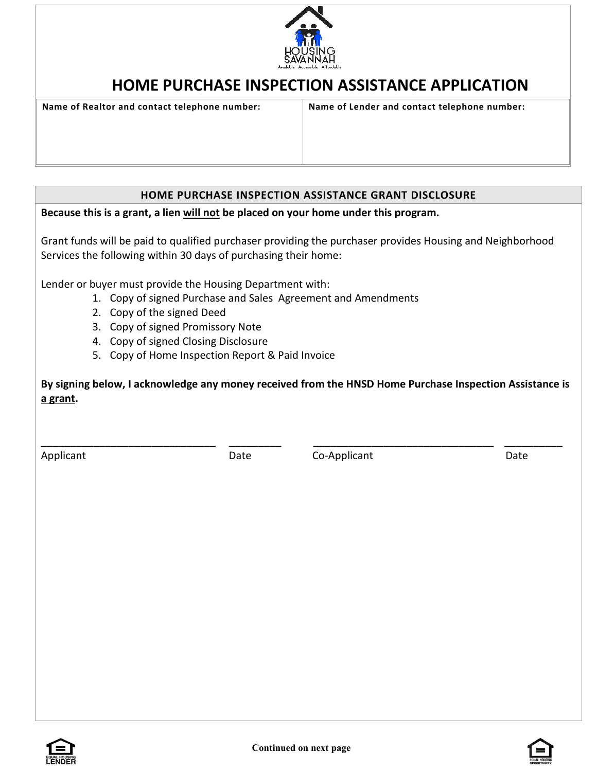

## **HOME PURCHASE INSPECTION ASSISTANCE APPLICATION**

**Name of Realtor and contact telephone number: Name of Lender and contact telephone number:**

## **HOME PURCHASE INSPECTION ASSISTANCE GRANT DISCLOSURE**

**Because this is a grant, a lien will not be placed on your home under this program.**

Grant funds will be paid to qualified purchaser providing the purchaser provides Housing and Neighborhood Services the following within 30 days of purchasing their home:

Lender or buyer must provide the Housing Department with:

- 1. Copy of signed Purchase and Sales Agreement and Amendments
- 2. Copy of the signed Deed
- 3. Copy of signed Promissory Note
- 4. Copy of signed Closing Disclosure
- 5. Copy of Home Inspection Report & Paid Invoice

**By signing below, I acknowledge any money received from the HNSD Home Purchase Inspection Assistance is a grant.** 

\_\_\_\_\_\_\_\_\_\_\_\_\_\_\_\_\_\_\_\_\_\_\_\_\_\_\_\_\_\_ \_\_\_\_\_\_\_\_\_ \_\_\_\_\_\_\_\_\_\_\_\_\_\_\_\_\_\_\_\_\_\_\_\_\_\_\_\_\_\_\_ \_\_\_\_\_\_\_\_\_\_

Applicant Date Date Co-Applicant Date Date